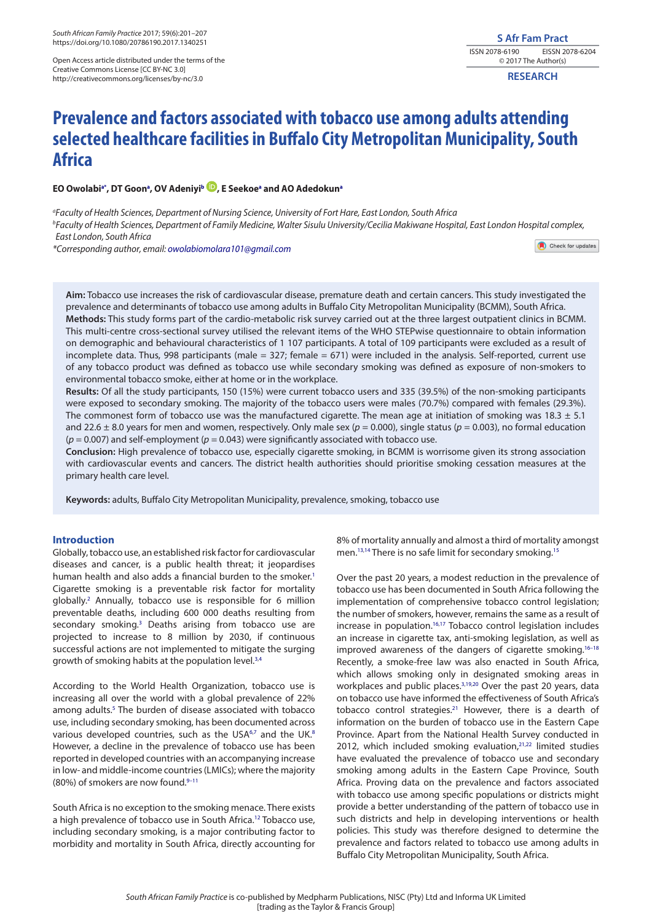Open Access article distributed under the terms of the Creative Commons License [CC BY-NC 3.0] http://creativecommons.org/licenses/by-nc/3.0

**RESEARCH**

# **Prevalence and factors associated with tobacco use among adults attending selected healthcare facilities in Buffalo City Metropolitan Municipality, South Africa**

# **EO Owolab[ia](#page-0-0)[\\*](#page-0-1) , DT Goo[na](#page-0-0) , OV Adeniyi[b](#page-0-2) [,](http://orcid.org/0000-0003-0216-6701) E Seeko[ea](#page-0-0) and AO Adedoku[na](#page-0-0)**

<span id="page-0-2"></span><span id="page-0-0"></span>*a Faculty of Health Sciences, Department of Nursing Science, University of Fort Hare, East London, South Africa b Faculty of Health Sciences, Department of Family Medicine, Walter Sisulu University/Cecilia Makiwane Hospital, East London Hospital complex, East London, South Africa*

<span id="page-0-1"></span>*\*Corresponding author, email: [owolabiomolara101@gmail.com](mailto:owolabiomolara101@gmail.com)* 

Check for updates

**Aim:** Tobacco use increases the risk of cardiovascular disease, premature death and certain cancers. This study investigated the prevalence and determinants of tobacco use among adults in Buffalo City Metropolitan Municipality (BCMM), South Africa. **Methods:** This study forms part of the cardio-metabolic risk survey carried out at the three largest outpatient clinics in BCMM. This multi-centre cross-sectional survey utilised the relevant items of the WHO STEPwise questionnaire to obtain information on demographic and behavioural characteristics of 1 107 participants. A total of 109 participants were excluded as a result of incomplete data. Thus, 998 participants (male = 327; female = 671) were included in the analysis. Self-reported, current use of any tobacco product was defined as tobacco use while secondary smoking was defined as exposure of non-smokers to environmental tobacco smoke, either at home or in the workplace.

**Results:** Of all the study participants, 150 (15%) were current tobacco users and 335 (39.5%) of the non-smoking participants were exposed to secondary smoking. The majority of the tobacco users were males (70.7%) compared with females (29.3%). The commonest form of tobacco use was the manufactured cigarette. The mean age at initiation of smoking was  $18.3 \pm 5.1$ and 22.6 ± 8.0 years for men and women, respectively. Only male sex (*p* = 0.000), single status (*p* = 0.003), no formal education (*p* = 0.007) and self-employment (*p* = 0.043) were significantly associated with tobacco use.

**Conclusion:** High prevalence of tobacco use, especially cigarette smoking, in BCMM is worrisome given its strong association with cardiovascular events and cancers. The district health authorities should prioritise smoking cessation measures at the primary health care level.

**Keywords:** adults, Buffalo City Metropolitan Municipality, prevalence, smoking, tobacco use

# **Introduction**

<span id="page-0-4"></span><span id="page-0-3"></span>Globally, tobacco use, an established risk factor for cardiovascular diseases and cancer, is a public health threat; it jeopardises human health and also adds a financial burden to the smoker.<sup>[1](#page-4-0)</sup> Cigarette smoking is a preventable risk factor for mortality globally.[2](#page-4-1) Annually, tobacco use is responsible for 6 million preventable deaths, including 600 000 deaths resulting from secondary smoking.<sup>[3](#page-4-2)</sup> Deaths arising from tobacco use are projected to increase to 8 million by 2030, if continuous successful actions are not implemented to mitigate the surging growth of smoking habits at the population level.<sup>[3](#page-4-2)[,4](#page-4-3)</sup>

<span id="page-0-8"></span><span id="page-0-7"></span><span id="page-0-5"></span>According to the World Health Organization, tobacco use is increasing all over the world with a global prevalence of 22% among adults.<sup>[5](#page-4-4)</sup> The burden of disease associated with tobacco use, including secondary smoking, has been documented across various developed countries, such as the USA<sup>[6,](#page-4-5)[7](#page-4-6)</sup> and the UK.<sup>8</sup> However, a decline in the prevalence of tobacco use has been reported in developed countries with an accompanying increase in low- and middle-income countries (LMICs); where the majority (80%) of smokers are now found.<sup>9-11</sup>

<span id="page-0-11"></span>South Africa is no exception to the smoking menace. There exists a high prevalence of tobacco use in South Africa[.12](#page-5-2) Tobacco use, including secondary smoking, is a major contributing factor to morbidity and mortality in South Africa, directly accounting for

<span id="page-0-14"></span><span id="page-0-13"></span><span id="page-0-12"></span>8% of mortality annually and almost a third of mortality amongst men.<sup>13,[14](#page-5-4)</sup> There is no safe limit for secondary smoking.<sup>15</sup>

<span id="page-0-20"></span><span id="page-0-19"></span><span id="page-0-18"></span><span id="page-0-17"></span><span id="page-0-16"></span><span id="page-0-15"></span><span id="page-0-10"></span><span id="page-0-9"></span><span id="page-0-6"></span>Over the past 20 years, a modest reduction in the prevalence of tobacco use has been documented in South Africa following the implementation of comprehensive tobacco control legislation; the number of smokers, however, remains the same as a result of increase in population.<sup>16,[17](#page-5-7)</sup> Tobacco control legislation includes an increase in cigarette tax, anti-smoking legislation, as well as improved awareness of the dangers of cigarette smoking.<sup>16-18</sup> Recently, a smoke-free law was also enacted in South Africa, which allows smoking only in designated smoking areas in workplaces and public places.<sup>3[,19,](#page-5-8)[20](#page-5-9)</sup> Over the past 20 years, data on tobacco use have informed the effectiveness of South Africa's tobacco control strategies.<sup>21</sup> However, there is a dearth of information on the burden of tobacco use in the Eastern Cape Province. Apart from the National Health Survey conducted in 2012, which included smoking evaluation, $2^{1,22}$  limited studies have evaluated the prevalence of tobacco use and secondary smoking among adults in the Eastern Cape Province, South Africa. Proving data on the prevalence and factors associated with tobacco use among specific populations or districts might provide a better understanding of the pattern of tobacco use in such districts and help in developing interventions or health policies. This study was therefore designed to determine the prevalence and factors related to tobacco use among adults in Buffalo City Metropolitan Municipality, South Africa.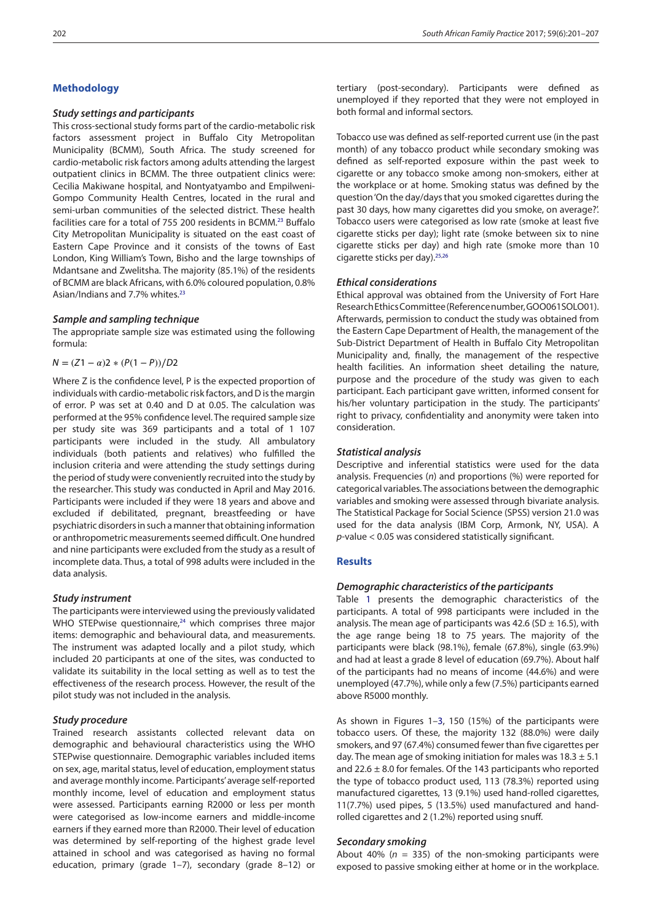# **Methodology**

# *Study settings and participants*

<span id="page-1-0"></span>This cross-sectional study forms part of the cardio-metabolic risk factors assessment project in Buffalo City Metropolitan Municipality (BCMM), South Africa. The study screened for cardio-metabolic risk factors among adults attending the largest outpatient clinics in BCMM. The three outpatient clinics were: Cecilia Makiwane hospital, and Nontyatyambo and Empilweni-Gompo Community Health Centres, located in the rural and semi-urban communities of the selected district. These health facilities care for a total of 755 200 residents in BCMM[.23](#page-5-12) Buffalo City Metropolitan Municipality is situated on the east coast of Eastern Cape Province and it consists of the towns of East London, King William's Town, Bisho and the large townships of Mdantsane and Zwelitsha. The majority (85.1%) of the residents of BCMM are black Africans, with 6.0% coloured population, 0.8% Asian/Indians and 7.7% whites.<sup>[23](#page-5-12)</sup>

## *Sample and sampling technique*

The appropriate sample size was estimated using the following formula:

 $N = (Z1 - \alpha)2 * (P(1 - P))/D2$ 

Where Z is the confidence level, P is the expected proportion of individuals with cardio-metabolic risk factors, and D is the margin of error. P was set at 0.40 and D at 0.05. The calculation was performed at the 95% confidence level. The required sample size per study site was 369 participants and a total of 1 107 participants were included in the study. All ambulatory individuals (both patients and relatives) who fulfilled the inclusion criteria and were attending the study settings during the period of study were conveniently recruited into the study by the researcher. This study was conducted in April and May 2016. Participants were included if they were 18 years and above and excluded if debilitated, pregnant, breastfeeding or have psychiatric disorders in such a manner that obtaining information or anthropometric measurements seemed difficult. One hundred and nine participants were excluded from the study as a result of incomplete data. Thus, a total of 998 adults were included in the data analysis.

#### *Study instrument*

<span id="page-1-1"></span>The participants were interviewed using the previously validated WHO STEPwise questionnaire,<sup>24</sup> which comprises three major items: demographic and behavioural data, and measurements. The instrument was adapted locally and a pilot study, which included 20 participants at one of the sites, was conducted to validate its suitability in the local setting as well as to test the effectiveness of the research process. However, the result of the pilot study was not included in the analysis.

#### *Study procedure*

Trained research assistants collected relevant data on demographic and behavioural characteristics using the WHO STEPwise questionnaire. Demographic variables included items on sex, age, marital status, level of education, employment status and average monthly income. Participants' average self-reported monthly income, level of education and employment status were assessed. Participants earning R2000 or less per month were categorised as low-income earners and middle-income earners if they earned more than R2000. Their level of education was determined by self-reporting of the highest grade level attained in school and was categorised as having no formal education, primary (grade 1–7), secondary (grade 8–12) or

tertiary (post-secondary). Participants were defined as unemployed if they reported that they were not employed in both formal and informal sectors.

Tobacco use was defined as self-reported current use (in the past month) of any tobacco product while secondary smoking was defined as self-reported exposure within the past week to cigarette or any tobacco smoke among non-smokers, either at the workplace or at home. Smoking status was defined by the question 'On the day/days that you smoked cigarettes during the past 30 days, how many cigarettes did you smoke, on average?'. Tobacco users were categorised as low rate (smoke at least five cigarette sticks per day); light rate (smoke between six to nine cigarette sticks per day) and high rate (smoke more than 10 cigarette sticks per day).[25](#page-5-14)[,26](#page-5-15)

# <span id="page-1-3"></span><span id="page-1-2"></span>*Ethical considerations*

Ethical approval was obtained from the University of Fort Hare Research Ethics Committee (Reference number, GOO061SOLO01). Afterwards, permission to conduct the study was obtained from the Eastern Cape Department of Health, the management of the Sub-District Department of Health in Buffalo City Metropolitan Municipality and, finally, the management of the respective health facilities. An information sheet detailing the nature, purpose and the procedure of the study was given to each participant. Each participant gave written, informed consent for his/her voluntary participation in the study. The participants' right to privacy, confidentiality and anonymity were taken into consideration.

### *Statistical analysis*

Descriptive and inferential statistics were used for the data analysis. Frequencies (*n*) and proportions (%) were reported for categorical variables. The associations between the demographic variables and smoking were assessed through bivariate analysis. The Statistical Package for Social Science (SPSS) version 21.0 was used for the data analysis (IBM Corp, Armonk, NY, USA). A *p*-value < 0.05 was considered statistically significant.

# **Results**

#### *Demographic characteristics of the participants*

Table [1](#page-2-0) presents the demographic characteristics of the participants. A total of 998 participants were included in the analysis. The mean age of participants was 42.6 (SD  $\pm$  16.5), with the age range being 18 to 75 years. The majority of the participants were black (98.1%), female (67.8%), single (63.9%) and had at least a grade 8 level of education (69.7%). About half of the participants had no means of income (44.6%) and were unemployed (47.7%), while only a few (7.5%) participants earned above R5000 monthly.

As shown in Figures 1–[3](#page-3-0), 150 (15%) of the participants were tobacco users. Of these, the majority 132 (88.0%) were daily smokers, and 97 (67.4%) consumed fewer than five cigarettes per day. The mean age of smoking initiation for males was  $18.3 \pm 5.1$ and 22.6  $\pm$  8.0 for females. Of the 143 participants who reported the type of tobacco product used, 113 (78.3%) reported using manufactured cigarettes, 13 (9.1%) used hand-rolled cigarettes, 11(7.7%) used pipes, 5 (13.5%) used manufactured and handrolled cigarettes and 2 (1.2%) reported using snuff.

## *Secondary smoking*

About 40% (*n* = 335) of the non-smoking participants were exposed to passive smoking either at home or in the workplace.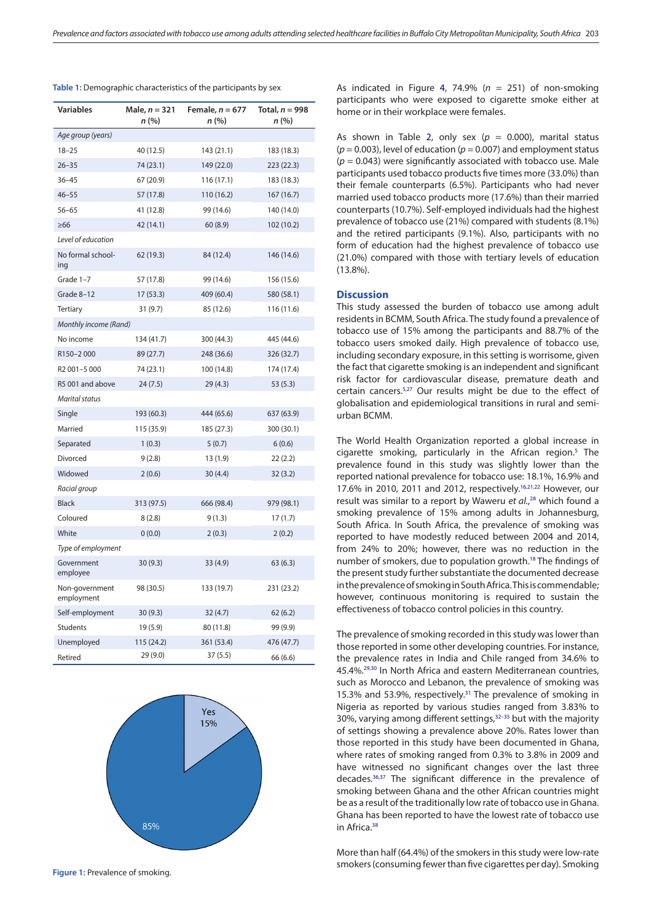| Variables                    | Male, $n = 321$<br>n (%) | Female, $n = 677$<br>n (%) | Total, $n = 998$<br>n (%) |  |  |  |  |  |
|------------------------------|--------------------------|----------------------------|---------------------------|--|--|--|--|--|
| Age group (years)            |                          |                            |                           |  |  |  |  |  |
| $18 - 25$                    | 40 (12.5)                | 143 (21.1)                 | 183 (18.3)                |  |  |  |  |  |
| $26 - 35$                    | 74 (23.1)                | 149 (22.0)                 | 223 (22.3)                |  |  |  |  |  |
| $36 - 45$                    | 67 (20.9)                | 116 (17.1)                 | 183 (18.3)                |  |  |  |  |  |
| $46 - 55$                    | 57 (17.8)                | 110 (16.2)                 | 167 (16.7)                |  |  |  |  |  |
| $56 - 65$                    | 41 (12.8)                | 99 (14.6)                  | 140 (14.0)                |  |  |  |  |  |
| $\geq 66$                    | 42 (14.1)                | 60(8.9)                    | 102 (10.2)                |  |  |  |  |  |
| Level of education           |                          |                            |                           |  |  |  |  |  |
| No formal school-<br>ing     | 62 (19.3)                | 84 (12.4)                  | 146 (14.6)                |  |  |  |  |  |
| Grade 1-7                    | 57 (17.8)                | 99 (14.6)                  | 156 (15.6)                |  |  |  |  |  |
| Grade 8-12                   | 17 (53.3)                | 409 (60.4)                 | 580 (58.1)                |  |  |  |  |  |
| <b>Tertiary</b>              | 31(9.7)                  | 85 (12.6)                  | 116 (11.6)                |  |  |  |  |  |
| Monthly income (Rand)        |                          |                            |                           |  |  |  |  |  |
| No income                    | 134 (41.7)               | 300 (44.3)                 | 445 (44.6)                |  |  |  |  |  |
| R150-2000                    | 89 (27.7)                | 248 (36.6)                 | 326 (32.7)                |  |  |  |  |  |
| R2 001-5 000                 | 74 (23.1)                | 100 (14.8)                 | 174 (17.4)                |  |  |  |  |  |
| R5 001 and above             | 24(7.5)                  | 29 (4.3)                   | 53 (5.3)                  |  |  |  |  |  |
| Marital status               |                          |                            |                           |  |  |  |  |  |
| Single                       | 193 (60.3)               | 444 (65.6)                 | 637 (63.9)                |  |  |  |  |  |
| Married                      | 115 (35.9)               | 185 (27.3)                 | 300 (30.1)                |  |  |  |  |  |
| Separated                    | 1(0.3)                   | 5(0.7)                     | 6(0.6)                    |  |  |  |  |  |
| Divorced                     | 9(2.8)                   | 13 (1.9)                   | 22(2.2)                   |  |  |  |  |  |
| Widowed                      | 2(0.6)                   | 30(4.4)                    | 32 (3.2)                  |  |  |  |  |  |
| Racial group                 |                          |                            |                           |  |  |  |  |  |
| <b>Black</b>                 | 313 (97.5)               | 666 (98.4)                 | 979 (98.1)                |  |  |  |  |  |
| Coloured                     | 8(2.8)                   | 9(1.3)                     | 17(1.7)                   |  |  |  |  |  |
| White                        | 0(0.0)                   | 2(0.3)                     | 2(0.2)                    |  |  |  |  |  |
| Type of employment           |                          |                            |                           |  |  |  |  |  |
| Government<br>employee       | 30(9.3)                  | 33 (4.9)                   | 63(6.3)                   |  |  |  |  |  |
| Non-government<br>employment | 98 (30.5)                | 133 (19.7)                 | 231 (23.2)                |  |  |  |  |  |
| Self-employment              | 30(9.3)                  | 32(4.7)                    | 62(6.2)                   |  |  |  |  |  |
| Students                     | 19 (5.9)                 | 80 (11.8)                  | 99 (9.9)                  |  |  |  |  |  |
| Unemployed                   | 115 (24.2)               | 361 (53.4)                 | 476 (47.7)                |  |  |  |  |  |
| Retired                      | 29 (9.0)                 | 37(5.5)                    | 66 (6.6)                  |  |  |  |  |  |

<span id="page-2-0"></span>**Table 1:** Demographic characteristics of the participants by sex



**Figure 1:** Prevalence of smoking.

As indicated in Figure [4](#page-3-1), 74.9% (*n* = 251) of non-smoking participants who were exposed to cigarette smoke either at home or in their workplace were females.

As shown in Table [2,](#page-4-7) only sex  $(p = 0.000)$ , marital status  $(p = 0.003)$ , level of education  $(p = 0.007)$  and employment status (*p* = 0.043) were significantly associated with tobacco use. Male participants used tobacco products five times more (33.0%) than their female counterparts (6.5%). Participants who had never married used tobacco products more (17.6%) than their married counterparts (10.7%). Self-employed individuals had the highest prevalence of tobacco use (21%) compared with students (8.1%) and the retired participants (9.1%). Also, participants with no form of education had the highest prevalence of tobacco use (21.0%) compared with those with tertiary levels of education (13.8%).

# **Discussion**

This study assessed the burden of tobacco use among adult residents in BCMM, South Africa. The study found a prevalence of tobacco use of 15% among the participants and 88.7% of the tobacco users smoked daily. High prevalence of tobacco use, including secondary exposure, in this setting is worrisome, given the fact that cigarette smoking is an independent and significant risk factor for cardiovascular disease, premature death and certain cancers.<sup>[5](#page-4-4),27</sup> Our results might be due to the effect of globalisation and epidemiological transitions in rural and semiurban BCMM.

<span id="page-2-9"></span><span id="page-2-8"></span>The World Health Organization reported a global increase in cigarette smoking, particularly in the African region.<sup>5</sup> The prevalence found in this study was slightly lower than the reported national prevalence for tobacco use: 18.1%, 16.9% and 17.6% in 2010, 2011 and 2012, respectively[.16,](#page-5-6)[21](#page-5-10)[,22](#page-5-11) However, our result was similar to a report by Waweru *et al.*, [28](#page-5-17) which found a smoking prevalence of 15% among adults in Johannesburg, South Africa. In South Africa, the prevalence of smoking was reported to have modestly reduced between 2004 and 2014, from 24% to 20%; however, there was no reduction in the number of smokers, due to population growth.[18](#page-5-18) The findings of the present study further substantiate the documented decrease in the prevalence of smoking in South Africa. This is commendable; however, continuous monitoring is required to sustain the effectiveness of tobacco control policies in this country.

<span id="page-2-7"></span><span id="page-2-3"></span><span id="page-2-2"></span><span id="page-2-1"></span>The prevalence of smoking recorded in this study was lower than those reported in some other developing countries. For instance, the prevalence rates in India and Chile ranged from 34.6% to 45.4%[.29,](#page-5-19)[30](#page-5-20) In North Africa and eastern Mediterranean countries, such as Morocco and Lebanon, the prevalence of smoking was 15.3% and 53.9%, respectively.<sup>[31](#page-5-21)</sup> The prevalence of smoking in Nigeria as reported by various studies ranged from 3.83% to 30%, varying among different settings, $32-35$  but with the majority of settings showing a prevalence above 20%. Rates lower than those reported in this study have been documented in Ghana, where rates of smoking ranged from 0.3% to 3.8% in 2009 and have witnessed no significant changes over the last three decades[.36,](#page-5-23)[37](#page-5-24) The significant difference in the prevalence of smoking between Ghana and the other African countries might be as a result of the traditionally low rate of tobacco use in Ghana. Ghana has been reported to have the lowest rate of tobacco use in Africa<sup>[38](#page-5-25)</sup>

<span id="page-2-6"></span><span id="page-2-5"></span><span id="page-2-4"></span>More than half (64.4%) of the smokers in this study were low-rate smokers (consuming fewer than five cigarettes per day). Smoking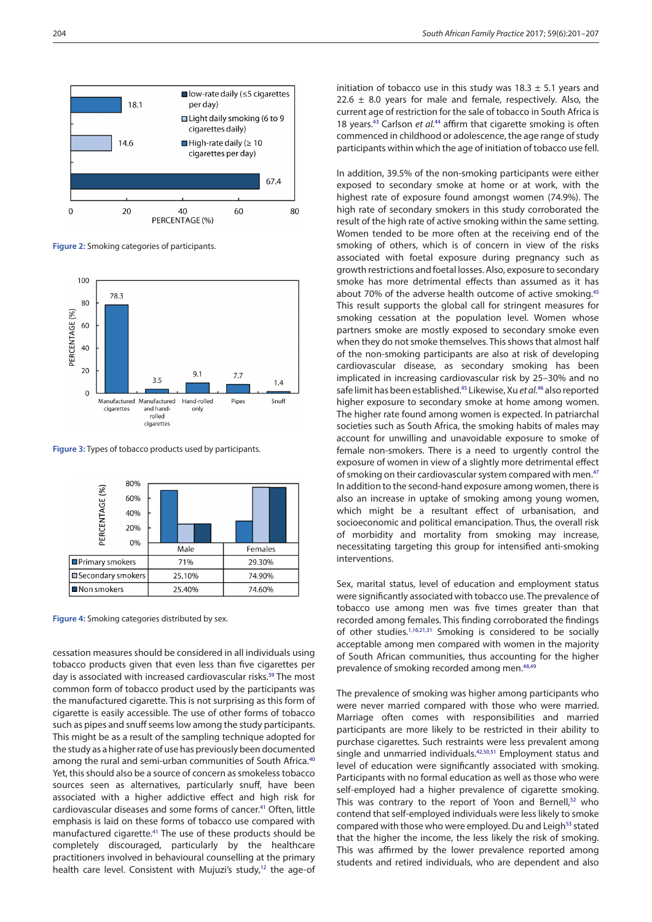

**Figure 2:** Smoking categories of participants.



<span id="page-3-0"></span>**Figure 3:** Types of tobacco products used by participants.



<span id="page-3-1"></span>**Figure 4:** Smoking categories distributed by sex.

<span id="page-3-4"></span><span id="page-3-3"></span><span id="page-3-2"></span>cessation measures should be considered in all individuals using tobacco products given that even less than five cigarettes per day is associated with increased cardiovascular risks.<sup>39</sup> The most common form of tobacco product used by the participants was the manufactured cigarette. This is not surprising as this form of cigarette is easily accessible. The use of other forms of tobacco such as pipes and snuff seems low among the study participants. This might be as a result of the sampling technique adopted for the study as a higher rate of use has previously been documented among the rural and semi-urban communities of South Africa.<sup>40</sup> Yet, this should also be a source of concern as smokeless tobacco sources seen as alternatives, particularly snuff, have been associated with a higher addictive effect and high risk for cardiovascular diseases and some forms of cancer.<sup>41</sup> Often. little emphasis is laid on these forms of tobacco use compared with manufactured cigarette[.41](#page-5-36) The use of these products should be completely discouraged, particularly by the healthcare practitioners involved in behavioural counselling at the primary health care level. Consistent with Mujuzi's study,<sup>[12](#page-5-2)</sup> the age-of <span id="page-3-7"></span><span id="page-3-6"></span>initiation of tobacco use in this study was  $18.3 \pm 5.1$  years and 22.6  $\pm$  8.0 years for male and female, respectively. Also, the current age of restriction for the sale of tobacco in South Africa is 18 years.[43](#page-5-26) Carlson *et al.*[44](#page-5-27) affirm that cigarette smoking is often commenced in childhood or adolescence, the age range of study participants within which the age of initiation of tobacco use fell.

<span id="page-3-8"></span>In addition, 39.5% of the non-smoking participants were either exposed to secondary smoke at home or at work, with the highest rate of exposure found amongst women (74.9%). The high rate of secondary smokers in this study corroborated the result of the high rate of active smoking within the same setting. Women tended to be more often at the receiving end of the smoking of others, which is of concern in view of the risks associated with foetal exposure during pregnancy such as growth restrictions and foetal losses. Also, exposure to secondary smoke has more detrimental effects than assumed as it has about 70% of the adverse health outcome of active smoking.<sup>[45](#page-5-28)</sup> This result supports the global call for stringent measures for smoking cessation at the population level. Women whose partners smoke are mostly exposed to secondary smoke even when they do not smoke themselves. This shows that almost half of the non-smoking participants are also at risk of developing cardiovascular disease, as secondary smoking has been implicated in increasing cardiovascular risk by 25–30% and no safe limit has been established[.45](#page-5-28) Likewise, Xu *et al.*[46](#page-5-29) also reported higher exposure to secondary smoke at home among women. The higher rate found among women is expected. In patriarchal societies such as South Africa, the smoking habits of males may account for unwilling and unavoidable exposure to smoke of female non-smokers. There is a need to urgently control the exposure of women in view of a slightly more detrimental effect of smoking on their cardiovascular system compared with men.<sup>[47](#page-5-30)</sup> In addition to the second-hand exposure among women, there is also an increase in uptake of smoking among young women, which might be a resultant effect of urbanisation, and socioeconomic and political emancipation. Thus, the overall risk of morbidity and mortality from smoking may increase, necessitating targeting this group for intensified anti-smoking interventions.

<span id="page-3-10"></span><span id="page-3-9"></span>Sex, marital status, level of education and employment status were significantly associated with tobacco use. The prevalence of tobacco use among men was five times greater than that recorded among females. This finding corroborated the findings of other studies.<sup>[1,](#page-4-0)[16](#page-5-6)[,21](#page-5-10),31</sup> Smoking is considered to be socially acceptable among men compared with women in the majority of South African communities, thus accounting for the higher prevalence of smoking recorded among men.[48](#page-5-31)[,49](#page-5-32)

<span id="page-3-16"></span><span id="page-3-15"></span><span id="page-3-14"></span><span id="page-3-13"></span><span id="page-3-12"></span><span id="page-3-11"></span><span id="page-3-5"></span>The prevalence of smoking was higher among participants who were never married compared with those who were married. Marriage often comes with responsibilities and married participants are more likely to be restricted in their ability to purchase cigarettes. Such restraints were less prevalent among single and unmarried individuals.<sup>42[,50,](#page-6-0)[51](#page-6-1)</sup> Employment status and level of education were significantly associated with smoking. Participants with no formal education as well as those who were self-employed had a higher prevalence of cigarette smoking. This was contrary to the report of Yoon and Bernell, $52$  who contend that self-employed individuals were less likely to smoke compared with those who were employed. Du and Leigh<sup>[53](#page-6-3)</sup> stated that the higher the income, the less likely the risk of smoking. This was affirmed by the lower prevalence reported among students and retired individuals, who are dependent and also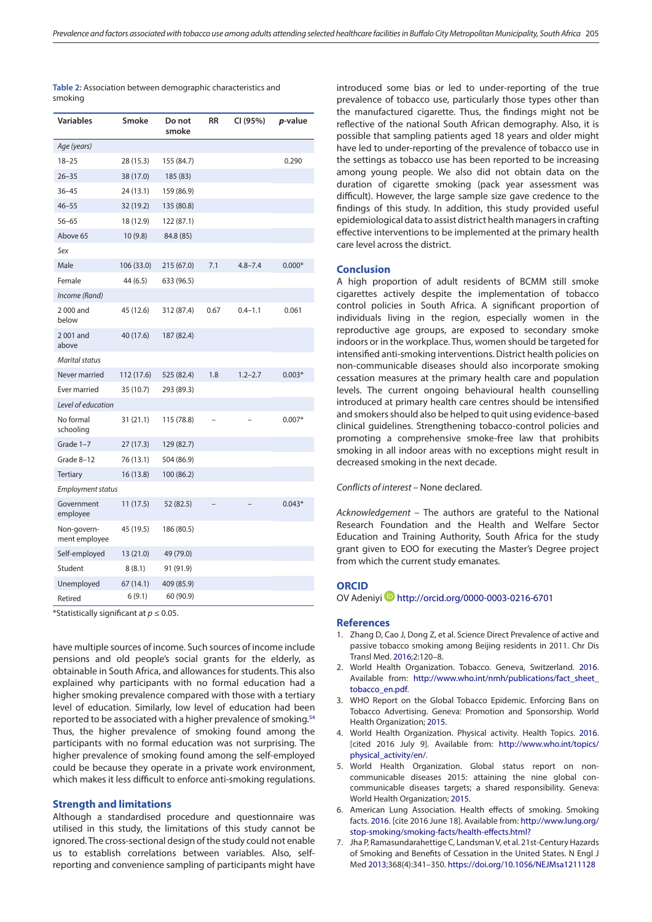<span id="page-4-7"></span>

| Table 2: Association between demographic characteristics and |  |
|--------------------------------------------------------------|--|
| smoking                                                      |  |

| <b>Variables</b>             | Smoke      | Do not<br>smoke | RR   | CI (95%)    | p-value  |  |  |  |
|------------------------------|------------|-----------------|------|-------------|----------|--|--|--|
| Age (years)                  |            |                 |      |             |          |  |  |  |
| $18 - 25$                    | 28 (15.3)  | 155 (84.7)      |      |             | 0.290    |  |  |  |
| $26 - 35$                    | 38 (17.0)  | 185 (83)        |      |             |          |  |  |  |
| $36 - 45$                    | 24 (13.1)  | 159 (86.9)      |      |             |          |  |  |  |
| $46 - 55$                    | 32 (19.2)  | 135 (80.8)      |      |             |          |  |  |  |
| $56 - 65$                    | 18 (12.9)  | 122 (87.1)      |      |             |          |  |  |  |
| Above 65                     | 10(9.8)    | 84.8 (85)       |      |             |          |  |  |  |
| Sex                          |            |                 |      |             |          |  |  |  |
| Male                         | 106 (33.0) | 215(67.0)       | 7.1  | $4.8 - 7.4$ | $0.000*$ |  |  |  |
| Female                       | 44 (6.5)   | 633 (96.5)      |      |             |          |  |  |  |
| Income (Rand)                |            |                 |      |             |          |  |  |  |
| 2000 and<br>below            | 45 (12.6)  | 312 (87.4)      | 0.67 | $0.4 - 1.1$ | 0.061    |  |  |  |
| 2001 and<br>above            | 40 (17.6)  | 187 (82.4)      |      |             |          |  |  |  |
| <b>Marital status</b>        |            |                 |      |             |          |  |  |  |
| Never married                | 112 (17.6) | 525 (82.4)      | 1.8  | $1.2 - 2.7$ | $0.003*$ |  |  |  |
| Ever married                 | 35 (10.7)  | 293 (89.3)      |      |             |          |  |  |  |
| Level of education           |            |                 |      |             |          |  |  |  |
| No formal<br>schooling       | 31 (21.1)  | 115 (78.8)      |      |             | $0.007*$ |  |  |  |
| Grade 1-7                    | 27 (17.3)  | 129 (82.7)      |      |             |          |  |  |  |
| Grade 8-12                   | 76 (13.1)  | 504 (86.9)      |      |             |          |  |  |  |
| <b>Tertiary</b>              | 16 (13.8)  | 100 (86.2)      |      |             |          |  |  |  |
| Employment status            |            |                 |      |             |          |  |  |  |
| Government<br>employee       | 11 (17.5)  | 52 (82.5)       |      |             | $0.043*$ |  |  |  |
| Non-govern-<br>ment employee | 45 (19.5)  | 186 (80.5)      |      |             |          |  |  |  |
| Self-employed                | 13 (21.0)  | 49 (79.0)       |      |             |          |  |  |  |
| Student                      | 8(8.1)     | 91 (91.9)       |      |             |          |  |  |  |
| Unemployed                   | 67 (14.1)  | 409 (85.9)      |      |             |          |  |  |  |
| Retired                      | 6(9.1)     | 60 (90.9)       |      |             |          |  |  |  |

\*Statistically significant at *p* ≤ 0.05.

<span id="page-4-8"></span>have multiple sources of income. Such sources of income include pensions and old people's social grants for the elderly, as obtainable in South Africa, and allowances for students. This also explained why participants with no formal education had a higher smoking prevalence compared with those with a tertiary level of education. Similarly, low level of education had been reported to be associated with a higher prevalence of smoking[.54](#page-6-4) Thus, the higher prevalence of smoking found among the participants with no formal education was not surprising. The higher prevalence of smoking found among the self-employed could be because they operate in a private work environment, which makes it less difficult to enforce anti-smoking regulations.

#### **Strength and limitations**

Although a standardised procedure and questionnaire was utilised in this study, the limitations of this study cannot be ignored. The cross-sectional design of the study could not enable us to establish correlations between variables. Also, selfreporting and convenience sampling of participants might have

introduced some bias or led to under-reporting of the true prevalence of tobacco use, particularly those types other than the manufactured cigarette. Thus, the findings might not be reflective of the national South African demography. Also, it is possible that sampling patients aged 18 years and older might have led to under-reporting of the prevalence of tobacco use in the settings as tobacco use has been reported to be increasing among young people. We also did not obtain data on the duration of cigarette smoking (pack year assessment was difficult). However, the large sample size gave credence to the findings of this study. In addition, this study provided useful epidemiological data to assist district health managers in crafting effective interventions to be implemented at the primary health care level across the district.

#### **Conclusion**

A high proportion of adult residents of BCMM still smoke cigarettes actively despite the implementation of tobacco control policies in South Africa. A significant proportion of individuals living in the region, especially women in the reproductive age groups, are exposed to secondary smoke indoors or in the workplace. Thus, women should be targeted for intensified anti-smoking interventions. District health policies on non-communicable diseases should also incorporate smoking cessation measures at the primary health care and population levels. The current ongoing behavioural health counselling introduced at primary health care centres should be intensified and smokers should also be helped to quit using evidence-based clinical guidelines. Strengthening tobacco-control policies and promoting a comprehensive smoke-free law that prohibits smoking in all indoor areas with no exceptions might result in decreased smoking in the next decade.

#### *Conflicts of interest –* None declared.

*Acknowledgement* – The authors are grateful to the National Research Foundation and the Health and Welfare Sector Education and Training Authority, South Africa for the study grant given to EOO for executing the Master's Degree project from which the current study emanates.

# **ORCID**

OV Adeniyi <http://orcid.org/0000-0003-0216-6701>

#### **References**

- <span id="page-4-0"></span>1. Zhang D, Cao J, Dong Z, et al. Science Direct Prevalence of active and passive tobacco smoking among Beijing residents in 2011. Chr Dis Transl Med. [2016;](#page-0-3)2:120–8.
- <span id="page-4-1"></span>2. World Health Organization. Tobacco. Geneva, Switzerland. [2016](#page-0-4). Available from: http://www.who.int/nmh/publications/fact sheet [tobacco\\_en.pdf.](http://www.who.int/nmh/publications/fact_sheet_tobacco_en.pdf)
- <span id="page-4-2"></span>3. WHO Report on the Global Tobacco Epidemic. Enforcing Bans on Tobacco Advertising. Geneva: Promotion and Sponsorship. World Health Organization; [2015.](#page-0-5)
- <span id="page-4-3"></span>4. World Health Organization. Physical activity. Health Topics. [2016](#page-0-6). [cited 2016 July 9]. Available from: [http://www.who.int/topics/](http://www.who.int/topics/physical_activity/en/) [physical\\_activity/en/.](http://www.who.int/topics/physical_activity/en/)
- <span id="page-4-4"></span>5. World Health Organization. Global status report on noncommunicable diseases 2015: attaining the nine global concommunicable diseases targets; a shared responsibility. Geneva: World Health Organization; [2015](#page-0-7).
- <span id="page-4-5"></span>6. American Lung Association. Health effects of smoking. Smoking facts. [2016](#page-0-8). [cite 2016 June 18]. Available from: [http://www.lung.org/](http://www.lung.org/stop-smoking/smoking-facts/health-effects.html?) [stop-smoking/smoking-facts/health-effects.html?](http://www.lung.org/stop-smoking/smoking-facts/health-effects.html?)
- <span id="page-4-6"></span>7. Jha P, Ramasundarahettige C, Landsman V, et al. 21st-Century Hazards of Smoking and Benefits of Cessation in the United States. N Engl J Med [2013;](#page-0-9)368(4):341–350. https://doi.org/10.1056/NEJMsa1211128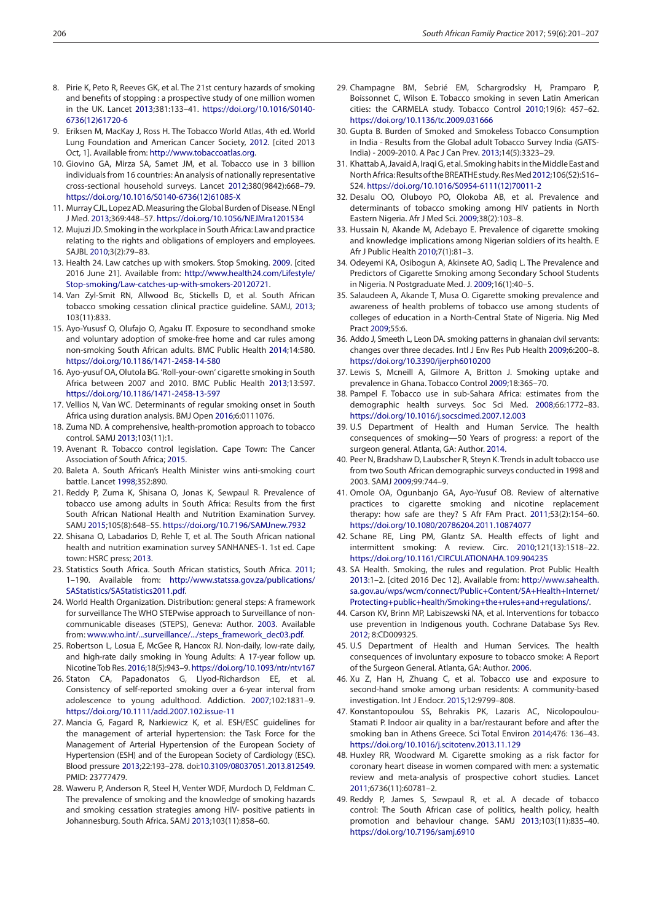- <span id="page-5-0"></span>8. Pirie K, Peto R, Reeves GK, et al. The 21st century hazards of smoking and benefits of stopping : a prospective study of one million women in the UK. Lancet [2013;](#page-0-10)381:133–41. https://doi.org/10.1016/S0140- 6736(12)61720-6
- <span id="page-5-1"></span>9. Eriksen M, MacKay J, Ross H. The Tobacco World Atlas, 4th ed. World Lung Foundation and American Cancer Society, 2012. [cited 2013 Oct, 1]. Available from: <http://www.tobaccoatlas.org>.
- 10. Giovino GA, Mirza SA, Samet JM, et al. Tobacco use in 3 billion individuals from 16 countries: An analysis of nationally representative cross-sectional household surveys. Lancet 2012;380(9842):668–79. https://doi.org/10.1016/S0140-6736(12)61085-X
- 11. Murray CJL, Lopez AD. Measuring the Global Burden of Disease. N Engl J Med. 2013;369:448–57. https://doi.org/10.1056/NEJMra1201534
- <span id="page-5-2"></span>12. Mujuzi JD. Smoking in the workplace in South Africa: Law and practice relating to the rights and obligations of employers and employees. SAJBL [2010;](#page-0-11)3(2):79–83.
- <span id="page-5-3"></span>13. Health 24. Law catches up with smokers. Stop Smoking. [2009](#page-0-12). [cited 2016 June 21]. Available from: [http://www.health24.com/Lifestyle/](http://www.health24.com/Lifestyle/Stop-smoking/Law-catches-up-with-smokers-20120721) [Stop-smoking/Law-catches-up-with-smokers-20120721.](http://www.health24.com/Lifestyle/Stop-smoking/Law-catches-up-with-smokers-20120721)
- <span id="page-5-4"></span>14. Van Zyl-Smit RN, Allwood Bc, Stickells D, et al. South African tobacco smoking cessation clinical practice guideline. SAMJ, [2013](#page-0-13); 103(11):833.
- <span id="page-5-5"></span>15. Ayo-Yususf O, Olufajo O, Agaku IT. Exposure to secondhand smoke and voluntary adoption of smoke-free home and car rules among non-smoking South African adults. BMC Public Health [2014](#page-0-14);14:580. https://doi.org/10.1186/1471-2458-14-580
- <span id="page-5-6"></span>16. Ayo-yusuf OA, Olutola BG. 'Roll-your-own' cigarette smoking in South Africa between 2007 and 2010. BMC Public Health [2013](#page-0-15);13:597. https://doi.org/10.1186/1471-2458-13-597
- <span id="page-5-7"></span>17. Vellios N, Van WC. Determinants of regular smoking onset in South Africa using duration analysis. BMJ Open [2016;](#page-0-16)6:0111076.
- <span id="page-5-18"></span>18. Zuma ND. A comprehensive, health-promotion approach to tobacco control. SAMJ [2013;](#page-2-7)103(11):1.
- <span id="page-5-8"></span>19. Avenant R. Tobacco control legislation. Cape Town: The Cancer Association of South Africa; [2015](#page-0-17).
- <span id="page-5-9"></span>20. Baleta A. South African's Health Minister wins anti-smoking court battle. Lancet [1998;](#page-0-18)352:890.
- <span id="page-5-10"></span>21. Reddy P, Zuma K, Shisana O, Jonas K, Sewpaul R. Prevalence of tobacco use among adults in South Africa: Results from the first South African National Health and Nutrition Examination Survey. SAMJ [2015;](#page-0-19)105(8):648–55. https://doi.org/10.7196/SAMJnew.7932
- <span id="page-5-11"></span>22. Shisana O, Labadarios D, Rehle T, et al. The South African national health and nutrition examination survey SANHANES-1. 1st ed. Cape town: HSRC press; [2013](#page-0-20).
- <span id="page-5-12"></span>23. Statistics South Africa. South African statistics, South Africa. [2011](#page-1-0); 1–190. Available from: [http://www.statssa.gov.za/publications/](http://www.statssa.gov.za/publications/SAStatistics/SAStatistics2011.pdf) [SAStatistics/SAStatistics2011.pdf.](http://www.statssa.gov.za/publications/SAStatistics/SAStatistics2011.pdf)
- <span id="page-5-13"></span>24. World Health Organization. Distribution: general steps: A framework for surveillance The WHO STEPwise approach to Surveillance of noncommunicable diseases (STEPS), Geneva: Author. [2003.](#page-1-1) Available from: [www.who.int/...surveillance/.../steps\\_framework\\_dec03.pdf](http://www.who.int/...surveillance/.../steps_framework_dec03.pdf).
- <span id="page-5-14"></span>25. Robertson L, Losua E, McGee R, Hancox RJ. Non-daily, low-rate daily, and high-rate daily smoking in Young Adults: A 17-year follow up. Nicotine Tob Res. [2016;](#page-1-2)18(5):943–9. https://doi.org/10.1093/ntr/ntv167
- <span id="page-5-15"></span>26. Staton CA, Papadonatos G, Llyod-Richardson EE, et al. Consistency of self-reported smoking over a 6-year interval from adolescence to young adulthood. Addiction. [2007;](#page-1-3)102:1831–9. https://doi.org/10.1111/add.2007.102.issue-11
- <span id="page-5-16"></span>27. Mancia G, Fagard R, Narkiewicz K, et al. ESH/ESC guidelines for the management of arterial hypertension: the Task Force for the Management of Arterial Hypertension of the European Society of Hypertension (ESH) and of the European Society of Cardiology (ESC). Blood pressure [2013;](#page-2-8)22:193–278. doi:[10.3109/08037051.2013.812549](https://doi.org/10.3109/08037051.2013.812549). PMID: 23777479.
- <span id="page-5-17"></span>28. Waweru P, Anderson R, Steel H, Venter WDF, Murdoch D, Feldman C. The prevalence of smoking and the knowledge of smoking hazards and smoking cessation strategies among HIV- positive patients in Johannesburg. South Africa. SAMJ [2013;](#page-2-9)103(11):858–60.
- <span id="page-5-19"></span>29. Champagne BM, Sebrié EM, Schargrodsky H, Pramparo P, Boissonnet C, Wilson E. Tobacco smoking in seven Latin American cities: the CARMELA study. Tobacco Control [2010](#page-2-1);19(6): 457–62. https://doi.org/10.1136/tc.2009.031666
- <span id="page-5-20"></span>30. Gupta B. Burden of Smoked and Smokeless Tobacco Consumption in India - Results from the Global adult Tobacco Survey India (GATS-India) - 2009-2010. A Pac J Can Prev. [2013](#page-2-2);14(5):3323–29.
- <span id="page-5-21"></span>31. Khattab A, Javaid A, Iraqi G, et al. Smoking habits in the Middle East and North Africa: Results of the BREATHE study. Res Med [2012;](#page-2-3)106(S2):S16– S24. https://doi.org/10.1016/S0954-6111(12)70011-2
- <span id="page-5-22"></span>32. Desalu OO, Oluboyo PO, Olokoba AB, et al. Prevalence and determinants of tobacco smoking among HIV patients in North Eastern Nigeria. Afr J Med Sci. 2009;38(2):103–8.
- 33. Hussain N, Akande M, Adebayo E. Prevalence of cigarette smoking and knowledge implications among Nigerian soldiers of its health. E Afr J Public Health 2010;7(1):81–3.
- 34. Odeyemi KA, Osibogun A, Akinsete AO, Sadiq L. The Prevalence and Predictors of Cigarette Smoking among Secondary School Students in Nigeria. N Postgraduate Med. J. 2009;16(1):40–5.
- 35. Salaudeen A, Akande T, Musa O. Cigarette smoking prevalence and awareness of health problems of tobacco use among students of colleges of education in a North-Central State of Nigeria. Nig Med Pract 2009;55:6.
- <span id="page-5-23"></span>36. Addo J, Smeeth L, Leon DA. smoking patterns in ghanaian civil servants: changes over three decades. Intl J Env Res Pub Health [2009;](#page-2-4)6:200–8. https://doi.org/10.3390/ijerph6010200
- <span id="page-5-24"></span>37. Lewis S, Mcneill A, Gilmore A, Britton J. Smoking uptake and prevalence in Ghana. Tobacco Control [2009](#page-2-5);18:365–70.
- <span id="page-5-25"></span>38. Pampel F. Tobacco use in sub-Sahara Africa: estimates from the demographic health surveys. Soc Sci Med. [2008](#page-2-6);66:1772–83. https://doi.org/10.1016/j.socscimed.2007.12.003
- <span id="page-5-34"></span>39. U.S Department of Health and Human Service. The health consequences of smoking—50 Years of progress: a report of the surgeon general. Atlanta, GA: Author. [2014.](#page-3-2)
- <span id="page-5-35"></span>40. Peer N, Bradshaw D, Laubscher R, Steyn K. Trends in adult tobacco use from two South African demographic surveys conducted in 1998 and 2003. SAMJ [2009;](#page-3-3)99:744–9.
- <span id="page-5-36"></span>41. Omole OA, Ogunbanjo GA, Ayo-Yusuf OB. Review of alternative practices to cigarette smoking and nicotine replacement therapy: how safe are they? S Afr FAm Pract. [2011;](#page-3-4)53(2):154–60. https://doi.org/10.1080/20786204.2011.10874077
- <span id="page-5-33"></span>42. Schane RE, Ling PM, Glantz SA. Health effects of light and intermittent smoking: A review. Circ. [2010](#page-3-5);121(13):1518–22. https://doi.org/10.1161/CIRCULATIONAHA.109.904235
- <span id="page-5-26"></span>43. SA Health. Smoking, the rules and regulation. Prot Public Health [2013](#page-3-6):1–2. [cited 2016 Dec 12]. Available from: [http://www.sahealth.](http://www.sahealth.sa.gov.au/wps/wcm/connect/Public+Content/SA+Health+Internet/Protecting+public+health/Smoking+the+rules+and+regulations/) [sa.gov.au/wps/wcm/connect/Public+Content/SA+Health+Internet/](http://www.sahealth.sa.gov.au/wps/wcm/connect/Public+Content/SA+Health+Internet/Protecting+public+health/Smoking+the+rules+and+regulations/) [Protecting+public+health/Smoking+the+rules+and+regulations/](http://www.sahealth.sa.gov.au/wps/wcm/connect/Public+Content/SA+Health+Internet/Protecting+public+health/Smoking+the+rules+and+regulations/).
- <span id="page-5-27"></span>44. Carson KV, Brinn MP, Labiszewski NA, et al. Interventions for tobacco use prevention in Indigenous youth. Cochrane Database Sys Rev. [2012](#page-3-7); 8:CD009325.
- <span id="page-5-28"></span>45. U.S Department of Health and Human Services. The health consequences of involuntary exposure to tobacco smoke: A Report of the Surgeon General. Atlanta, GA: Author. [2006.](#page-3-8)
- <span id="page-5-29"></span>46. Xu Z, Han H, Zhuang C, et al. Tobacco use and exposure to second-hand smoke among urban residents: A community-based investigation. Int J Endocr. [2015;](#page-3-9)12:9799–808.
- <span id="page-5-30"></span>47. Konstantopoulou SS, Behrakis PK, Lazaris AC, Nicolopoulou-Stamati P. Indoor air quality in a bar/restaurant before and after the smoking ban in Athens Greece. Sci Total Environ [2014;](#page-3-10)476: 136–43. https://doi.org/10.1016/j.scitotenv.2013.11.129
- <span id="page-5-31"></span>48. Huxley RR, Woodward M. Cigarette smoking as a risk factor for coronary heart disease in women compared with men: a systematic review and meta-analysis of prospective cohort studies. Lancet [2011](#page-3-11);6736(11):60781–2.
- <span id="page-5-32"></span>49. Reddy P, James S, Sewpaul R, et al. A decade of tobacco control: The South African case of politics, health policy, health promotion and behaviour change. SAMJ [2013;](#page-3-12)103(11):835–40. https://doi.org/10.7196/samj.6910